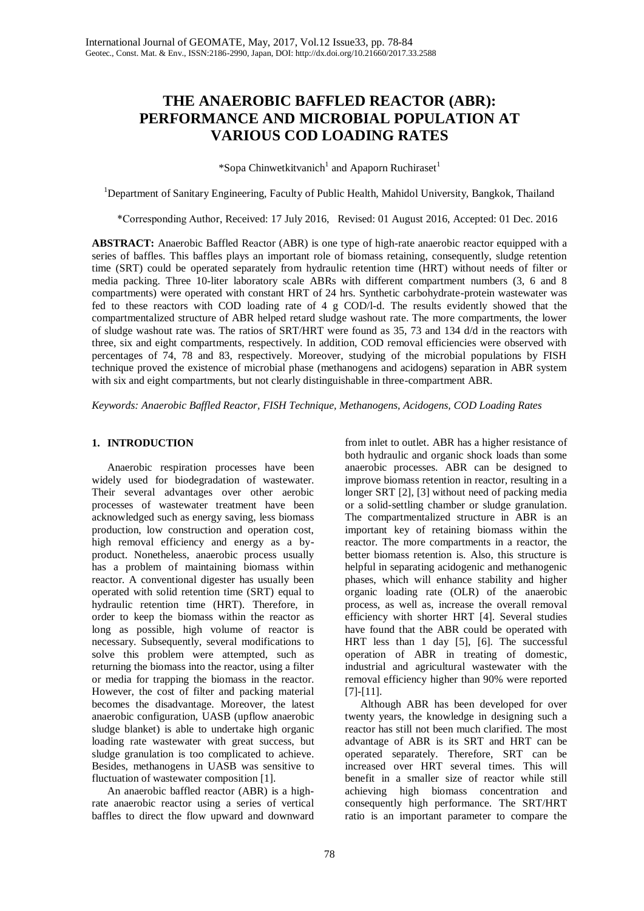# **THE ANAEROBIC BAFFLED REACTOR (ABR): PERFORMANCE AND MICROBIAL POPULATION AT VARIOUS COD LOADING RATES**

\*Sopa Chinwetkitvanich<sup>1</sup> and Apaporn Ruchiraset<sup>1</sup>

<sup>1</sup>Department of Sanitary Engineering, Faculty of Public Health, Mahidol University, Bangkok, Thailand

\*Corresponding Author, Received: 17 July 2016, Revised: 01 August 2016, Accepted: 01 Dec. 2016

**ABSTRACT:** Anaerobic Baffled Reactor (ABR) is one type of high-rate anaerobic reactor equipped with a series of baffles. This baffles plays an important role of biomass retaining, consequently, sludge retention time (SRT) could be operated separately from hydraulic retention time (HRT) without needs of filter or media packing. Three 10-liter laboratory scale ABRs with different compartment numbers (3, 6 and 8 compartments) were operated with constant HRT of 24 hrs. Synthetic carbohydrate-protein wastewater was fed to these reactors with COD loading rate of 4 g COD/l-d. The results evidently showed that the compartmentalized structure of ABR helped retard sludge washout rate. The more compartments, the lower of sludge washout rate was. The ratios of SRT/HRT were found as 35, 73 and 134 d/d in the reactors with three, six and eight compartments, respectively. In addition, COD removal efficiencies were observed with percentages of 74, 78 and 83, respectively. Moreover, studying of the microbial populations by FISH technique proved the existence of microbial phase (methanogens and acidogens) separation in ABR system with six and eight compartments, but not clearly distinguishable in three-compartment ABR.

*Keywords: Anaerobic Baffled Reactor, FISH Technique, Methanogens, Acidogens, COD Loading Rates*

## **1. INTRODUCTION**

Anaerobic respiration processes have been widely used for biodegradation of wastewater. Their several advantages over other aerobic processes of wastewater treatment have been acknowledged such as energy saving, less biomass production, low construction and operation cost, high removal efficiency and energy as a byproduct. Nonetheless, anaerobic process usually has a problem of maintaining biomass within reactor. A conventional digester has usually been operated with solid retention time (SRT) equal to hydraulic retention time (HRT). Therefore, in order to keep the biomass within the reactor as long as possible, high volume of reactor is necessary. Subsequently, several modifications to solve this problem were attempted, such as returning the biomass into the reactor, using a filter or media for trapping the biomass in the reactor. However, the cost of filter and packing material becomes the disadvantage. Moreover, the latest anaerobic configuration, UASB (upflow anaerobic sludge blanket) is able to undertake high organic loading rate wastewater with great success, but sludge granulation is too complicated to achieve. Besides, methanogens in UASB was sensitive to fluctuation of wastewater composition [1].

An anaerobic baffled reactor (ABR) is a highrate anaerobic reactor using a series of vertical baffles to direct the flow upward and downward

from inlet to outlet. ABR has a higher resistance of both hydraulic and organic shock loads than some anaerobic processes. ABR can be designed to improve biomass retention in reactor, resulting in a longer SRT [2], [3] without need of packing media or a solid-settling chamber or sludge granulation. The compartmentalized structure in ABR is an important key of retaining biomass within the reactor. The more compartments in a reactor, the better biomass retention is. Also, this structure is helpful in separating acidogenic and methanogenic phases, which will enhance stability and higher organic loading rate (OLR) of the anaerobic process, as well as, increase the overall removal efficiency with shorter HRT [4]. Several studies have found that the ABR could be operated with HRT less than 1 day [5], [6]. The successful operation of ABR in treating of domestic, industrial and agricultural wastewater with the removal efficiency higher than 90% were reported [7]-[11].

Although ABR has been developed for over twenty years, the knowledge in designing such a reactor has still not been much clarified. The most advantage of ABR is its SRT and HRT can be operated separately. Therefore, SRT can be increased over HRT several times. This will benefit in a smaller size of reactor while still achieving high biomass concentration and consequently high performance. The SRT/HRT ratio is an important parameter to compare the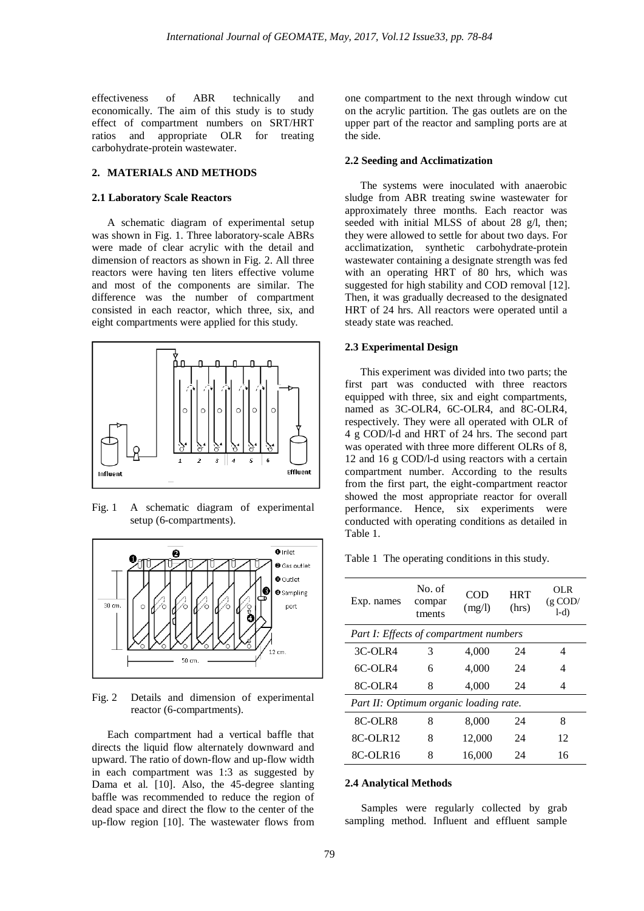effectiveness of ABR technically and economically. The aim of this study is to study effect of compartment numbers on SRT/HRT ratios and appropriate OLR for treating carbohydrate-protein wastewater.

## **2. MATERIALS AND METHODS**

# **2.1 Laboratory Scale Reactors**

A schematic diagram of experimental setup was shown in Fig. 1. Three laboratory-scale ABRs were made of clear acrylic with the detail and dimension of reactors as shown in Fig. 2. All three reactors were having ten liters effective volume and most of the components are similar. The difference was the number of compartment consisted in each reactor, which three, six, and eight compartments were applied for this study.



Fig. 1 A schematic diagram of experimental setup (6-compartments).



Fig. 2 Details and dimension of experimental reactor (6-compartments).

Each compartment had a vertical baffle that directs the liquid flow alternately downward and upward. The ratio of down-flow and up-flow width in each compartment was 1:3 as suggested by Dama et al. [10]. Also, the 45-degree slanting baffle was recommended to reduce the region of dead space and direct the flow to the center of the up-flow region [10]. The wastewater flows from one compartment to the next through window cut on the acrylic partition. The gas outlets are on the upper part of the reactor and sampling ports are at the side.

## **2.2 Seeding and Acclimatization**

The systems were inoculated with anaerobic sludge from ABR treating swine wastewater for approximately three months. Each reactor was seeded with initial MLSS of about 28 g/l, then; they were allowed to settle for about two days. For acclimatization, synthetic carbohydrate-protein wastewater containing a designate strength was fed with an operating HRT of 80 hrs, which was suggested for high stability and COD removal [12]. Then, it was gradually decreased to the designated HRT of 24 hrs. All reactors were operated until a steady state was reached.

#### **2.3 Experimental Design**

This experiment was divided into two parts; the first part was conducted with three reactors equipped with three, six and eight compartments, named as 3C-OLR4, 6C-OLR4, and 8C-OLR4, respectively. They were all operated with OLR of 4 g COD/l-d and HRT of 24 hrs. The second part was operated with three more different OLRs of 8, 12 and 16 g COD/l-d using reactors with a certain compartment number. According to the results from the first part, the eight-compartment reactor showed the most appropriate reactor for overall performance. Hence, six experiments were conducted with operating conditions as detailed in Table 1.

Table 1 The operating conditions in this study.

| Exp. names                             | No. of<br>compar<br>tments | COD<br>(mg/l) | <b>HRT</b><br>(hrs) | OL R<br>$(g \text{ COD}/$<br>$1-d$ |
|----------------------------------------|----------------------------|---------------|---------------------|------------------------------------|
| Part I: Effects of compartment numbers |                            |               |                     |                                    |
| 3C-OLR4                                | 3                          | 4,000         | 24                  | 4                                  |
| $6C-OLR4$                              | 6                          | 4,000         | 24                  | 4                                  |
| 8C-OLR4                                | 8                          | 4,000         | 24                  | 4                                  |
| Part II: Optimum organic loading rate. |                            |               |                     |                                    |
| 8C-OLR8                                | 8                          | 8,000         | 24                  | 8                                  |
| 8C-OLR12                               | 8                          | 12,000        | 24                  | 12                                 |
| 8C-OLR16                               | 8                          | 16,000        | 24                  | 16                                 |

#### **2.4 Analytical Methods**

Samples were regularly collected by grab sampling method. Influent and effluent sample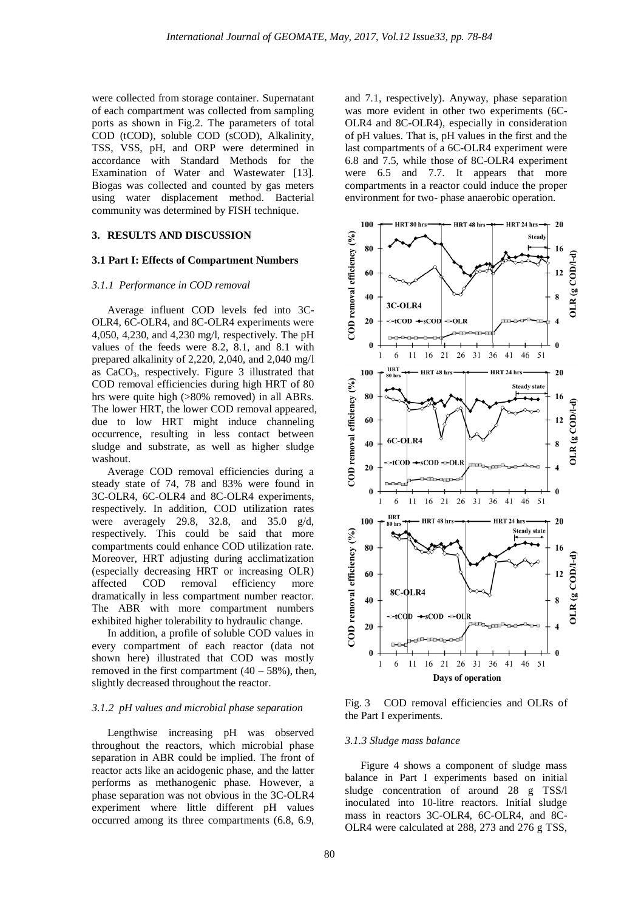were collected from storage container. Supernatant of each compartment was collected from sampling ports as shown in Fig.2. The parameters of total COD (tCOD), soluble COD (sCOD), Alkalinity, TSS, VSS, pH, and ORP were determined in accordance with Standard Methods for the Examination of Water and Wastewater [13]. Biogas was collected and counted by gas meters using water displacement method. Bacterial community was determined by FISH technique.

## **3. RESULTS AND DISCUSSION**

#### **3.1 Part I: Effects of Compartment Numbers**

#### *3.1.1 Performance in COD removal*

Average influent COD levels fed into 3C-OLR4, 6C-OLR4, and 8C-OLR4 experiments were 4,050, 4,230, and 4,230 mg/l, respectively. The pH values of the feeds were 8.2, 8.1, and 8.1 with prepared alkalinity of 2,220, 2,040, and 2,040 mg/l as CaCO3, respectively. Figure 3 illustrated that COD removal efficiencies during high HRT of 80 hrs were quite high (>80% removed) in all ABRs. The lower HRT, the lower COD removal appeared, due to low HRT might induce channeling occurrence, resulting in less contact between sludge and substrate, as well as higher sludge washout.

Average COD removal efficiencies during a steady state of 74, 78 and 83% were found in 3C-OLR4, 6C-OLR4 and 8C-OLR4 experiments, respectively. In addition, COD utilization rates were averagely 29.8, 32.8, and 35.0 g/d, respectively. This could be said that more compartments could enhance COD utilization rate. Moreover, HRT adjusting during acclimatization (especially decreasing HRT or increasing OLR) affected COD removal efficiency more dramatically in less compartment number reactor. The ABR with more compartment numbers exhibited higher tolerability to hydraulic change.

In addition, a profile of soluble COD values in every compartment of each reactor (data not shown here) illustrated that COD was mostly removed in the first compartment  $(40 - 58\%)$ , then, slightly decreased throughout the reactor.

#### *3.1.2 pH values and microbial phase separation*

Lengthwise increasing pH was observed throughout the reactors, which microbial phase separation in ABR could be implied. The front of reactor acts like an acidogenic phase, and the latter performs as methanogenic phase. However, a phase separation was not obvious in the 3C-OLR4 experiment where little different pH values occurred among its three compartments (6.8, 6.9,

and 7.1, respectively). Anyway, phase separation was more evident in other two experiments (6C-OLR4 and 8C-OLR4), especially in consideration of pH values. That is, pH values in the first and the last compartments of a 6C-OLR4 experiment were 6.8 and 7.5, while those of 8C-OLR4 experiment were 6.5 and 7.7. It appears that more compartments in a reactor could induce the proper environment for two- phase anaerobic operation.



Fig. 3 COD removal efficiencies and OLRs of the Part I experiments.

#### *3.1.3 Sludge mass balance*

Figure 4 shows a component of sludge mass balance in Part I experiments based on initial sludge concentration of around 28 g TSS/l inoculated into 10-litre reactors. Initial sludge mass in reactors 3C-OLR4, 6C-OLR4, and 8C-OLR4 were calculated at 288, 273 and 276 g TSS,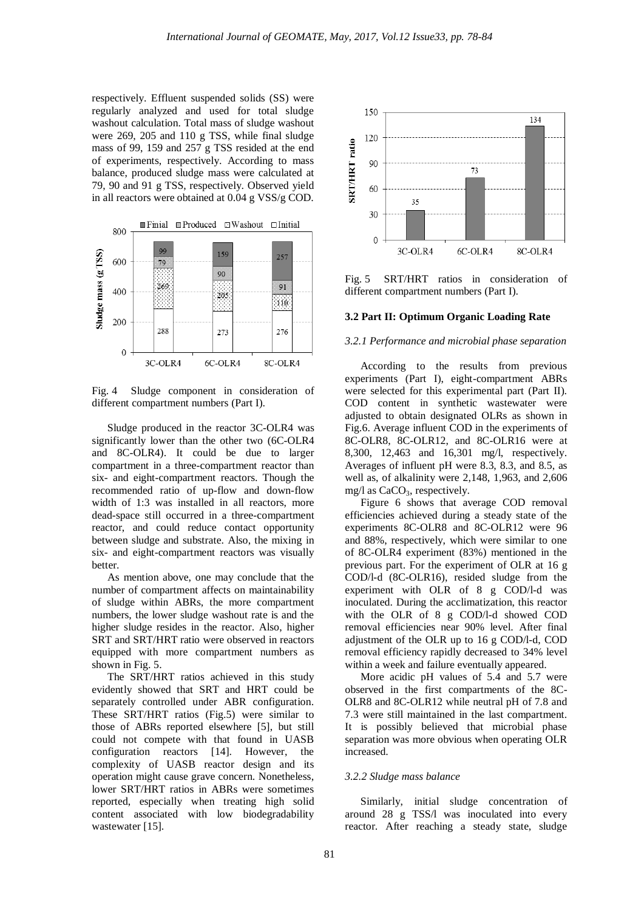respectively. Effluent suspended solids (SS) were regularly analyzed and used for total sludge washout calculation. Total mass of sludge washout were 269, 205 and 110 g TSS, while final sludge mass of 99, 159 and 257 g TSS resided at the end of experiments, respectively. According to mass balance, produced sludge mass were calculated at 79, 90 and 91 g TSS, respectively. Observed yield in all reactors were obtained at 0.04 g VSS/g COD.



Fig. 4 Sludge component in consideration of different compartment numbers (Part I).

Sludge produced in the reactor 3C-OLR4 was significantly lower than the other two (6C-OLR4 and 8C-OLR4). It could be due to larger compartment in a three-compartment reactor than six- and eight-compartment reactors. Though the recommended ratio of up-flow and down-flow width of 1:3 was installed in all reactors, more dead-space still occurred in a three-compartment reactor, and could reduce contact opportunity between sludge and substrate. Also, the mixing in six- and eight-compartment reactors was visually better.

As mention above, one may conclude that the number of compartment affects on maintainability of sludge within ABRs, the more compartment numbers, the lower sludge washout rate is and the higher sludge resides in the reactor. Also, higher SRT and SRT/HRT ratio were observed in reactors equipped with more compartment numbers as shown in Fig. 5.

The SRT/HRT ratios achieved in this study evidently showed that SRT and HRT could be separately controlled under ABR configuration. These SRT/HRT ratios (Fig.5) were similar to those of ABRs reported elsewhere [5], but still could not compete with that found in UASB configuration reactors [14]. However, the complexity of UASB reactor design and its operation might cause grave concern. Nonetheless, lower SRT/HRT ratios in ABRs were sometimes reported, especially when treating high solid content associated with low biodegradability wastewater [15].



Fig. 5 SRT/HRT ratios in consideration of different compartment numbers (Part I).

# **3.2 Part II: Optimum Organic Loading Rate**

#### *3.2.1 Performance and microbial phase separation*

According to the results from previous experiments (Part I), eight-compartment ABRs were selected for this experimental part (Part II). COD content in synthetic wastewater were adjusted to obtain designated OLRs as shown in Fig.6. Average influent COD in the experiments of 8C-OLR8, 8C-OLR12, and 8C-OLR16 were at 8,300, 12,463 and 16,301 mg/l, respectively. Averages of influent pH were 8.3, 8.3, and 8.5, as well as, of alkalinity were 2,148, 1,963, and 2,606 mg/l as  $CaCO<sub>3</sub>$ , respectively.

Figure 6 shows that average COD removal efficiencies achieved during a steady state of the experiments 8C-OLR8 and 8C-OLR12 were 96 and 88%, respectively, which were similar to one of 8C-OLR4 experiment (83%) mentioned in the previous part. For the experiment of OLR at 16 g COD/l-d (8C-OLR16), resided sludge from the experiment with OLR of 8 g COD/l-d was inoculated. During the acclimatization, this reactor with the OLR of 8 g COD/l-d showed COD removal efficiencies near 90% level. After final adjustment of the OLR up to 16 g COD/l-d, COD removal efficiency rapidly decreased to 34% level within a week and failure eventually appeared.

More acidic pH values of 5.4 and 5.7 were observed in the first compartments of the 8C-OLR8 and 8C-OLR12 while neutral pH of 7.8 and 7.3 were still maintained in the last compartment. It is possibly believed that microbial phase separation was more obvious when operating OLR increased.

#### *3.2.2 Sludge mass balance*

Similarly, initial sludge concentration of around 28 g TSS/l was inoculated into every reactor. After reaching a steady state, sludge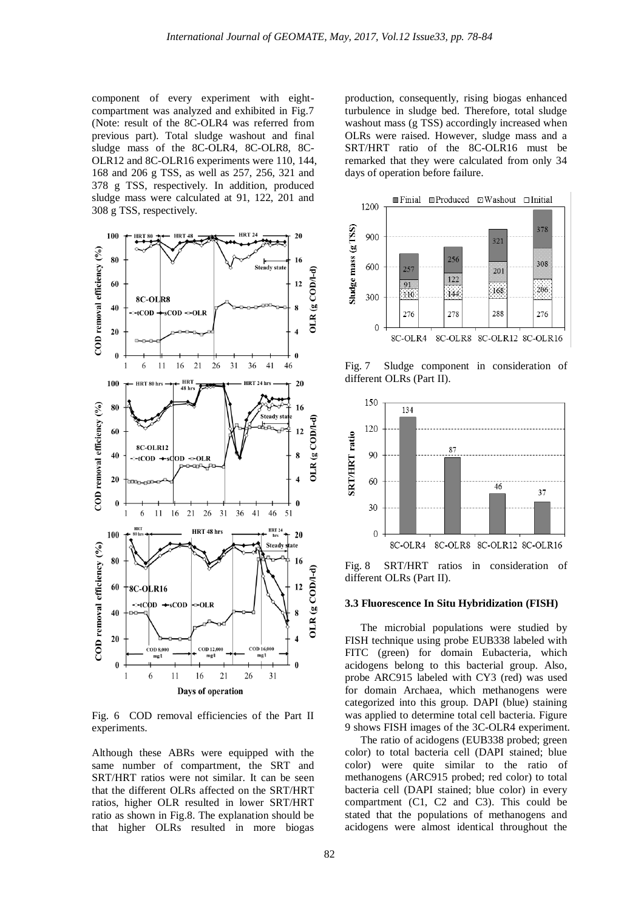component of every experiment with eightcompartment was analyzed and exhibited in Fig.7 (Note: result of the 8C-OLR4 was referred from previous part). Total sludge washout and final sludge mass of the 8C-OLR4, 8C-OLR8, 8C-OLR12 and 8C-OLR16 experiments were 110, 144, 168 and 206 g TSS, as well as 257, 256, 321 and 378 g TSS, respectively. In addition, produced sludge mass were calculated at 91, 122, 201 and 308 g TSS, respectively.



Fig. 6 COD removal efficiencies of the Part II experiments.

Although these ABRs were equipped with the same number of compartment, the SRT and SRT/HRT ratios were not similar. It can be seen that the different OLRs affected on the SRT/HRT ratios, higher OLR resulted in lower SRT/HRT ratio as shown in Fig.8. The explanation should be that higher OLRs resulted in more biogas production, consequently, rising biogas enhanced turbulence in sludge bed. Therefore, total sludge washout mass (g TSS) accordingly increased when OLRs were raised. However, sludge mass and a SRT/HRT ratio of the 8C-OLR16 must be remarked that they were calculated from only 34 days of operation before failure.



Fig. 7 Sludge component in consideration of different OLRs (Part II).



Fig. 8 SRT/HRT ratios in consideration of different OLRs (Part II).

#### **3.3 Fluorescence In Situ Hybridization (FISH)**

The microbial populations were studied by FISH technique using probe EUB338 labeled with FITC (green) for domain Eubacteria, which acidogens belong to this bacterial group. Also, probe ARC915 labeled with CY3 (red) was used for domain Archaea, which methanogens were categorized into this group. DAPI (blue) staining was applied to determine total cell bacteria. Figure 9 shows FISH images of the 3C-OLR4 experiment.

The ratio of acidogens (EUB338 probed; green color) to total bacteria cell (DAPI stained; blue color) were quite similar to the ratio of methanogens (ARC915 probed; red color) to total bacteria cell (DAPI stained; blue color) in every compartment (C1, C2 and C3). This could be stated that the populations of methanogens and acidogens were almost identical throughout the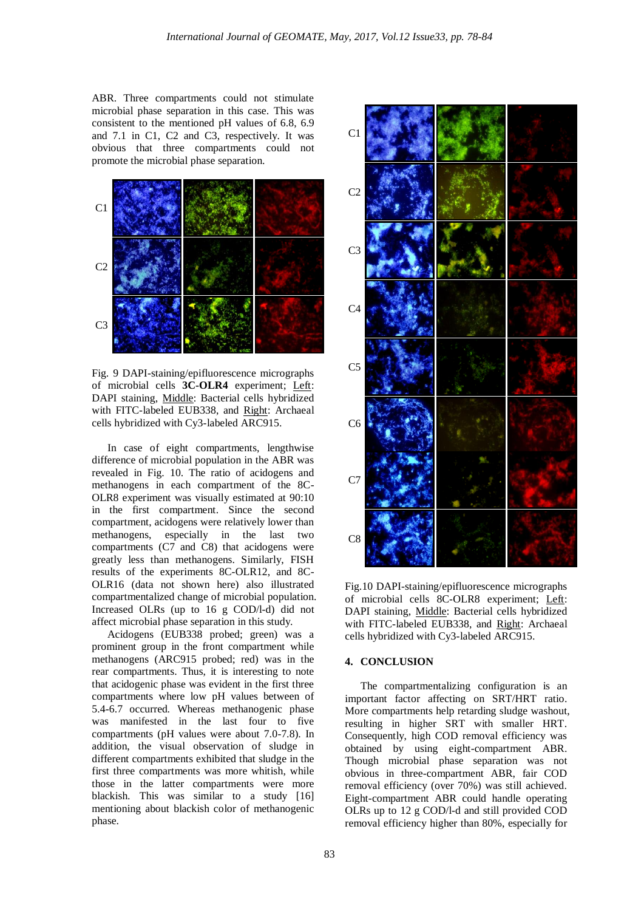ABR. Three compartments could not stimulate microbial phase separation in this case. This was consistent to the mentioned pH values of 6.8, 6.9 and 7.1 in C1, C2 and C3, respectively. It was obvious that three compartments could not promote the microbial phase separation.



Fig. 9 DAPI-staining/epifluorescence micrographs of microbial cells **3C-OLR4** experiment; Left: DAPI staining, Middle: Bacterial cells hybridized with FITC-labeled EUB338, and Right: Archaeal cells hybridized with Cy3-labeled ARC915.

In case of eight compartments, lengthwise difference of microbial population in the ABR was revealed in Fig. 10. The ratio of acidogens and methanogens in each compartment of the 8C-OLR8 experiment was visually estimated at 90:10 in the first compartment. Since the second compartment, acidogens were relatively lower than methanogens, especially in the last two compartments (C7 and C8) that acidogens were greatly less than methanogens. Similarly, FISH results of the experiments 8C-OLR12, and 8C-OLR16 (data not shown here) also illustrated compartmentalized change of microbial population. Increased OLRs (up to 16 g COD/l-d) did not affect microbial phase separation in this study.

Acidogens (EUB338 probed; green) was a prominent group in the front compartment while methanogens (ARC915 probed; red) was in the rear compartments. Thus, it is interesting to note that acidogenic phase was evident in the first three compartments where low pH values between of 5.4-6.7 occurred. Whereas methanogenic phase was manifested in the last four to five compartments (pH values were about 7.0-7.8). In addition, the visual observation of sludge in different compartments exhibited that sludge in the first three compartments was more whitish, while those in the latter compartments were more blackish. This was similar to a study [16] mentioning about blackish color of methanogenic phase.



Fig.10 DAPI-staining/epifluorescence micrographs of microbial cells 8C-OLR8 experiment; Left: DAPI staining, Middle: Bacterial cells hybridized with FITC-labeled EUB338, and Right: Archaeal cells hybridized with Cy3-labeled ARC915.

## **4. CONCLUSION**

The compartmentalizing configuration is an important factor affecting on SRT/HRT ratio. More compartments help retarding sludge washout, resulting in higher SRT with smaller HRT. Consequently, high COD removal efficiency was obtained by using eight-compartment ABR. Though microbial phase separation was not obvious in three-compartment ABR, fair COD removal efficiency (over 70%) was still achieved. Eight-compartment ABR could handle operating OLRs up to 12 g COD/l-d and still provided COD removal efficiency higher than 80%, especially for